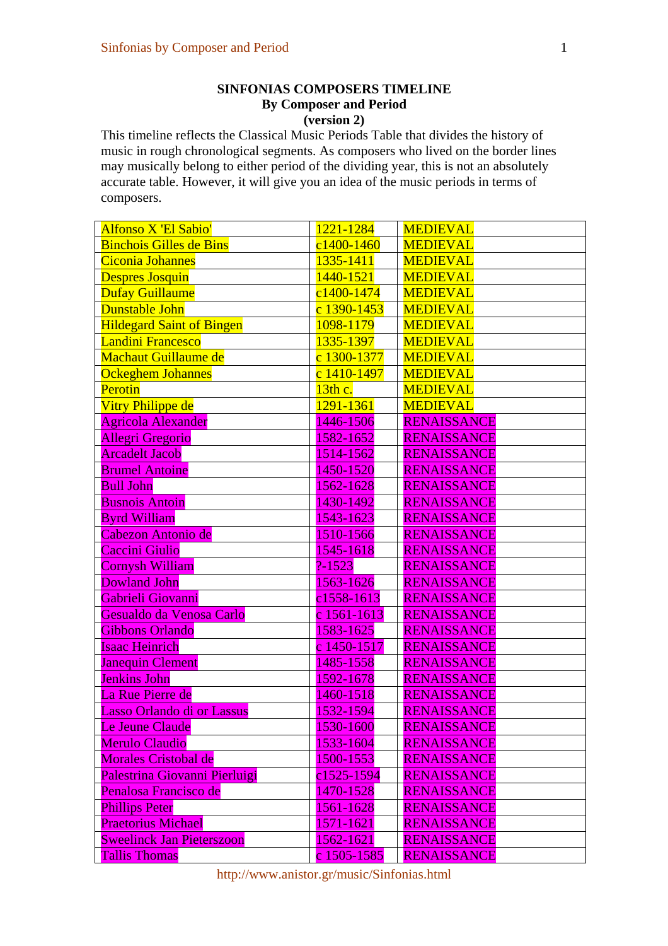## **SINFONIAS COMPOSERS TIMELINE By Composer and Period (version 2)**

This timeline reflects the Classical Music Periods Table that divides the history of music in rough chronological segments. As composers who lived on the border lines may musically belong to either period of the dividing year, this is not an absolutely accurate table. However, it will give you an idea of the music periods in terms of composers.

| Alfonso X 'El Sabio'             | 1221-1284      | <b>MEDIEVAL</b>    |
|----------------------------------|----------------|--------------------|
| <b>Binchois Gilles de Bins</b>   | $c1400 - 1460$ | <b>MEDIEVAL</b>    |
| <b>Ciconia Johannes</b>          | 1335-1411      | <b>MEDIEVAL</b>    |
| <b>Despres Josquin</b>           | 1440-1521      | <b>MEDIEVAL</b>    |
| <b>Dufay Guillaume</b>           | c1400-1474     | <b>MEDIEVAL</b>    |
| Dunstable John                   | c 1390-1453    | <b>MEDIEVAL</b>    |
| <b>Hildegard Saint of Bingen</b> | 1098-1179      | <b>MEDIEVAL</b>    |
| <b>Landini Francesco</b>         | 1335-1397      | <b>MEDIEVAL</b>    |
| <b>Machaut Guillaume de</b>      | c 1300-1377    | <b>MEDIEVAL</b>    |
| <b>Ockeghem Johannes</b>         | c 1410-1497    | <b>MEDIEVAL</b>    |
| Perotin                          | 13th c.        | <b>MEDIEVAL</b>    |
| Vitry Philippe de                | 1291-1361      | <b>MEDIEVAL</b>    |
| <b>Agricola Alexander</b>        | 1446-1506      | <b>RENAISSANCE</b> |
| Allegri Gregorio                 | 1582-1652      | <b>RENAISSANCE</b> |
| <b>Arcadelt Jacob</b>            | 1514-1562      | <b>RENAISSANCE</b> |
| <b>Brumel Antoine</b>            | 1450-1520      | <b>RENAISSANCE</b> |
| <b>Bull John</b>                 | 1562-1628      | <b>RENAISSANCE</b> |
| <b>Busnois Antoin</b>            | 1430-1492      | <b>RENAISSANCE</b> |
| <b>Byrd William</b>              | 1543-1623      | <b>RENAISSANCE</b> |
| Cabezon Antonio de               | 1510-1566      | <b>RENAISSANCE</b> |
| Caccini Giulio                   | 1545-1618      | <b>RENAISSANCE</b> |
| <b>Cornysh William</b>           | $? - 1523$     | <b>RENAISSANCE</b> |
| <b>Dowland John</b>              | 1563-1626      | <b>RENAISSANCE</b> |
| Gabrieli Giovanni                | c1558-1613     | <b>RENAISSANCE</b> |
| Gesualdo da Venosa Carlo         | c 1561-1613    | <b>RENAISSANCE</b> |
| <b>Gibbons Orlando</b>           | 1583-1625      | <b>RENAISSANCE</b> |
| <b>Isaac Heinrich</b>            | c 1450-1517    | RENAISSANCE        |
| <b>Janequin Clement</b>          | 1485-1558      | <b>RENAISSANCE</b> |
| <b>Jenkins John</b>              | 1592-1678      | <b>RENAISSANCE</b> |
| La Rue Pierre de                 | 1460-1518      | RENAISSANCE        |
| Lasso Orlando di or Lassus       | 1532-1594      | <b>RENAISSANCE</b> |
| Le Jeune Claude                  | 1530-1600      | <b>RENAISSANCE</b> |
| <b>Merulo Claudio</b>            | 1533-1604      | <b>RENAISSANCE</b> |
| Morales Cristobal de             | 1500-1553      | <b>RENAISSANCE</b> |
| Palestrina Giovanni Pierluigi    | c1525-1594     | <b>RENAISSANCE</b> |
| Penalosa Francisco de            | 1470-1528      | <b>RENAISSANCE</b> |
| <b>Phillips Peter</b>            | 1561-1628      | <b>RENAISSANCE</b> |
| <b>Praetorius Michael</b>        | 1571-1621      | <b>RENAISSANCE</b> |
| <b>Sweelinck Jan Pieterszoon</b> | 1562-1621      | <b>RENAISSANCE</b> |
| <b>Tallis Thomas</b>             | c 1505-1585    | <b>RENAISSANCE</b> |

http://www.anistor.gr/music/Sinfonias.html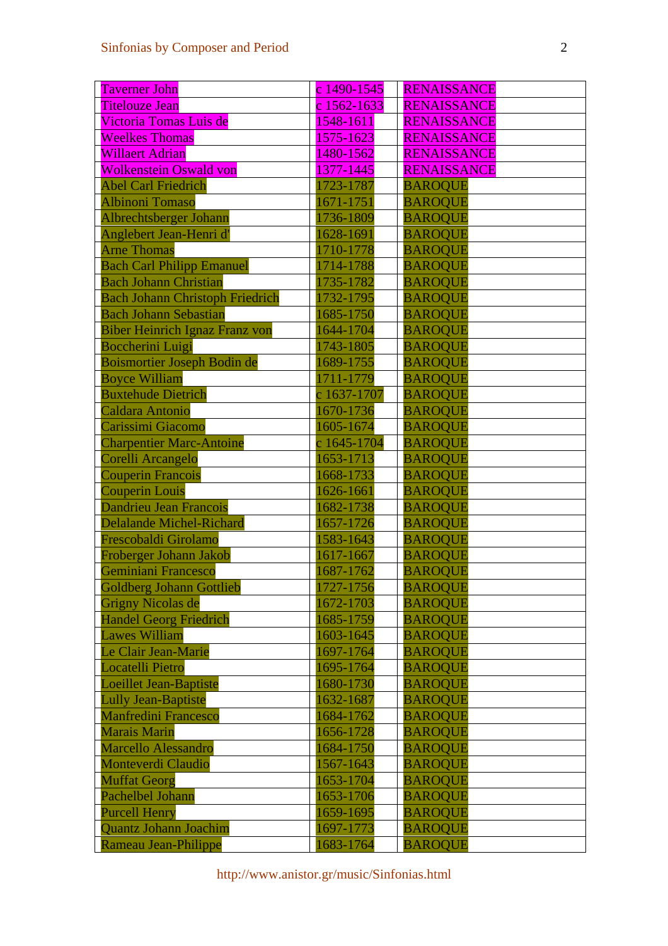| <b>Taverner John</b>                   | c 1490-1545 | <b>RENAISSANCE</b> |
|----------------------------------------|-------------|--------------------|
| <b>Titelouze Jean</b>                  | c 1562-1633 | <b>RENAISSANCE</b> |
| Victoria Tomas Luis de                 | 1548-1611   | <b>RENAISSANCE</b> |
| <b>Weelkes Thomas</b>                  | 1575-1623   | <b>RENAISSANCE</b> |
| Willaert Adrian                        | 1480-1562   | <b>RENAISSANCE</b> |
| <b>Wolkenstein Oswald von</b>          | 1377-1445   | <b>RENAISSANCE</b> |
| <b>Abel Carl Friedrich</b>             | 1723-1787   | <b>BAROQUE</b>     |
| <b>Albinoni Tomaso</b>                 | 1671-1751   | <b>BAROQUE</b>     |
| Albrechtsberger Johann                 | 1736-1809   | <b>BAROQUE</b>     |
| Anglebert Jean-Henri d'                | 1628-1691   | <b>BAROQUE</b>     |
| <b>Arne Thomas</b>                     | 1710-1778   | <b>BAROQUE</b>     |
| <b>Bach Carl Philipp Emanuel</b>       | 1714-1788   | <b>BAROQUE</b>     |
| <b>Bach Johann Christian</b>           | 1735-1782   | <b>BAROQUE</b>     |
| <b>Bach Johann Christoph Friedrich</b> | 1732-1795   | <b>BAROQUE</b>     |
| <b>Bach Johann Sebastian</b>           | 1685-1750   | <b>BAROQUE</b>     |
| <b>Biber Heinrich Ignaz Franz von</b>  | 1644-1704   | <b>BAROQUE</b>     |
| <b>Boccherini Luigi</b>                | 1743-1805   | <b>BAROQUE</b>     |
| Boismortier Joseph Bodin de            | 1689-1755   | <b>BAROQUE</b>     |
| <b>Boyce William</b>                   | 1711-1779   | <b>BAROQUE</b>     |
| <b>Buxtehude Dietrich</b>              | c 1637-1707 | <b>BAROQUE</b>     |
| Caldara Antonio                        | 1670-1736   | <b>BAROQUE</b>     |
| Carissimi Giacomo                      | 1605-1674   | <b>BAROQUE</b>     |
| <b>Charpentier Marc-Antoine</b>        | c 1645-1704 | <b>BAROQUE</b>     |
| Corelli Arcangelo                      | 1653-1713   | <b>BAROQUE</b>     |
| <b>Couperin Francois</b>               | 1668-1733   | <b>BAROQUE</b>     |
| <b>Couperin Louis</b>                  | 1626-1661   | <b>BAROQUE</b>     |
| <b>Dandrieu Jean Francois</b>          | 1682-1738   | <b>BAROQUE</b>     |
| <b>Delalande Michel-Richard</b>        | 1657-1726   | <b>BAROQUE</b>     |
| Frescobaldi Girolamo                   | 1583-1643   | <b>BAROQUE</b>     |
| Froberger Johann Jakob                 | 1617-1667   | <b>BAROQUE</b>     |
| Geminiani Francesco                    | 1687-1762   | <b>BAROQUE</b>     |
| <b>Goldberg Johann Gottlieb</b>        | 1727-1756   | <b>BAROQUE</b>     |
| <b>Grigny Nicolas de</b>               | 1672-1703   | <b>BAROQUE</b>     |
| <b>Handel Georg Friedrich</b>          | 1685-1759   | <b>BAROQUE</b>     |
| <b>Lawes William</b>                   | 1603-1645   | <b>BAROQUE</b>     |
| Le Clair Jean-Marie                    | 1697-1764   | <b>BAROQUE</b>     |
| <b>Locatelli Pietro</b>                | 1695-1764   | <b>BAROQUE</b>     |
| <b>Loeillet Jean-Baptiste</b>          | 1680-1730   | <b>BAROQUE</b>     |
| <b>Lully Jean-Baptiste</b>             | 1632-1687   | <b>BAROQUE</b>     |
| <b>Manfredini Francesco</b>            | 1684-1762   | <b>BAROQUE</b>     |
| <b>Marais Marin</b>                    | 1656-1728   | <b>BAROQUE</b>     |
| <b>Marcello Alessandro</b>             | 1684-1750   | <b>BAROQUE</b>     |
| <b>Monteverdi Claudio</b>              | 1567-1643   | <b>BAROQUE</b>     |
| <b>Muffat Georg</b>                    | 1653-1704   | <b>BAROQUE</b>     |
| Pachelbel Johann                       | 1653-1706   | <b>BAROQUE</b>     |
| <b>Purcell Henry</b>                   | 1659-1695   | <b>BAROQUE</b>     |
| <b>Quantz Johann Joachim</b>           | 1697-1773   | <b>BAROQUE</b>     |
| Rameau Jean-Philippe                   | 1683-1764   | <b>BAROQUE</b>     |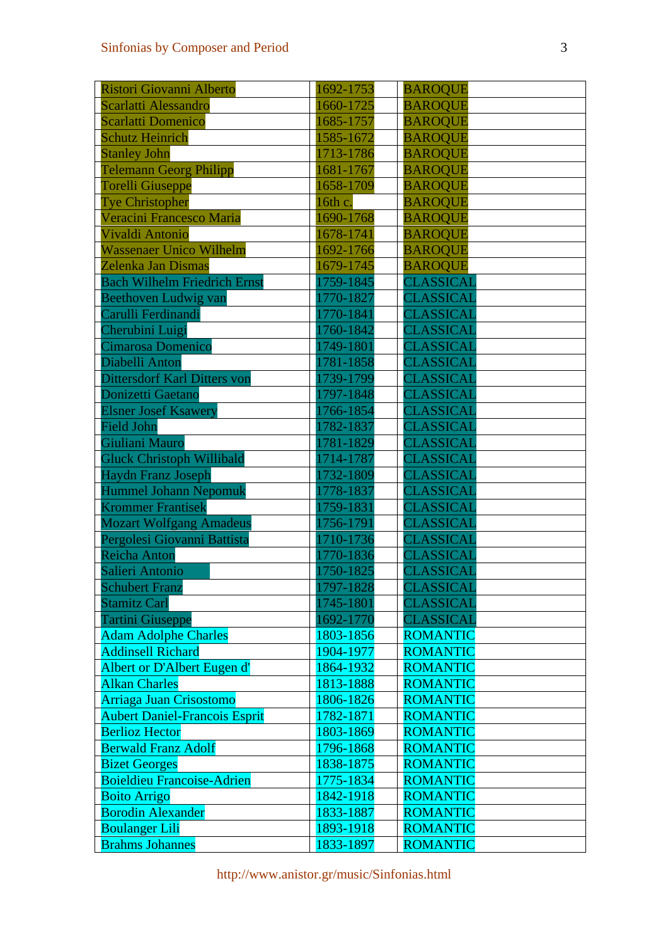| Ristori Giovanni Alberto             | 1692-1753 | <b>BAROQUE</b>   |
|--------------------------------------|-----------|------------------|
| Scarlatti Alessandro                 | 1660-1725 | <b>BAROQUE</b>   |
| <b>Scarlatti Domenico</b>            | 1685-1757 | <b>BAROQUE</b>   |
| <b>Schutz Heinrich</b>               | 1585-1672 | <b>BAROQUE</b>   |
| <b>Stanley John</b>                  | 1713-1786 | <b>BAROQUE</b>   |
| <b>Telemann Georg Philipp</b>        | 1681-1767 | <b>BAROQUE</b>   |
| <b>Torelli Giuseppe</b>              | 1658-1709 | <b>BAROQUE</b>   |
| <b>Tye Christopher</b>               | 16th c.   | <b>BAROQUE</b>   |
| Veracini Francesco Maria             | 1690-1768 | <b>BAROQUE</b>   |
| Vivaldi Antonio                      | 1678-1741 | <b>BAROQUE</b>   |
| <b>Wassenaer Unico Wilhelm</b>       | 1692-1766 | <b>BAROQUE</b>   |
| Zelenka Jan Dismas                   | 1679-1745 | <b>BAROQUE</b>   |
| <b>Bach Wilhelm Friedrich Ernst</b>  | 1759-1845 | CLASSICAL        |
| <b>Beethoven Ludwig van</b>          | 1770-1827 | <b>CLASSICAL</b> |
| Carulli Ferdinandi                   | 1770-1841 | <b>CLASSICAL</b> |
| Cherubini Luigi                      | 1760-1842 | CLASSICAL        |
| Cimarosa Domenico                    | 1749-1801 | CLASSICAL        |
| Diabelli Anton                       | 1781-1858 | CLASSICAL        |
| <b>Dittersdorf Karl Ditters von</b>  | 1739-1799 | CLASSICAL        |
| Donizetti Gaetano                    | 1797-1848 | <b>CLASSICAL</b> |
| <b>Elsner Josef Ksawery</b>          | 1766-1854 | CLASSICAL        |
| Field John                           | 1782-1837 | CLASSICAL        |
| Giuliani Mauro                       | 1781-1829 | CLASSICAL        |
| <b>Gluck Christoph Willibald</b>     | 1714-1787 | CLASSICAL        |
| <b>Haydn Franz Joseph</b>            | 1732-1809 | <b>CLASSICAL</b> |
| <b>Hummel Johann Nepomuk</b>         | 1778-1837 | CLASSICAL        |
| <b>Krommer Frantisek</b>             | 1759-1831 | CLASSICAL        |
| <b>Mozart Wolfgang Amadeus</b>       | 1756-1791 | <b>CLASSICAL</b> |
| Pergolesi Giovanni Battista          | 1710-1736 | CLASSICAL        |
| Reicha Anton                         | 1770-1836 | <b>CLASSICAL</b> |
| Salieri Antonio                      | 1750-1825 | CLASSICAL        |
| <b>Schubert Franz</b>                | 1797-1828 | CLASSICAL        |
| <b>Stamitz Carl</b>                  | 1745-1801 | <b>CLASSICAL</b> |
| <b>Tartini Giuseppe</b>              | 1692-1770 | CLASSICAL        |
| <b>Adam Adolphe Charles</b>          | 1803-1856 | <b>ROMANTIC</b>  |
| <b>Addinsell Richard</b>             | 1904-1977 | <b>ROMANTIC</b>  |
| Albert or D'Albert Eugen d'          | 1864-1932 | <b>ROMANTIC</b>  |
| <b>Alkan Charles</b>                 | 1813-1888 | <b>ROMANTIC</b>  |
| Arriaga Juan Crisostomo              | 1806-1826 | <b>ROMANTIC</b>  |
| <b>Aubert Daniel-Francois Esprit</b> | 1782-1871 | <b>ROMANTIC</b>  |
| <b>Berlioz Hector</b>                | 1803-1869 | <b>ROMANTIC</b>  |
| <b>Berwald Franz Adolf</b>           | 1796-1868 | <b>ROMANTIC</b>  |
| <b>Bizet Georges</b>                 | 1838-1875 | <b>ROMANTIC</b>  |
| <b>Boieldieu Francoise-Adrien</b>    | 1775-1834 | <b>ROMANTIC</b>  |
| <b>Boito Arrigo</b>                  | 1842-1918 | <b>ROMANTIC</b>  |
| <b>Borodin Alexander</b>             | 1833-1887 | <b>ROMANTIC</b>  |
| <b>Boulanger Lili</b>                | 1893-1918 | <b>ROMANTIC</b>  |
| <b>Brahms Johannes</b>               | 1833-1897 | <b>ROMANTIC</b>  |

http://www.anistor.gr/music/Sinfonias.html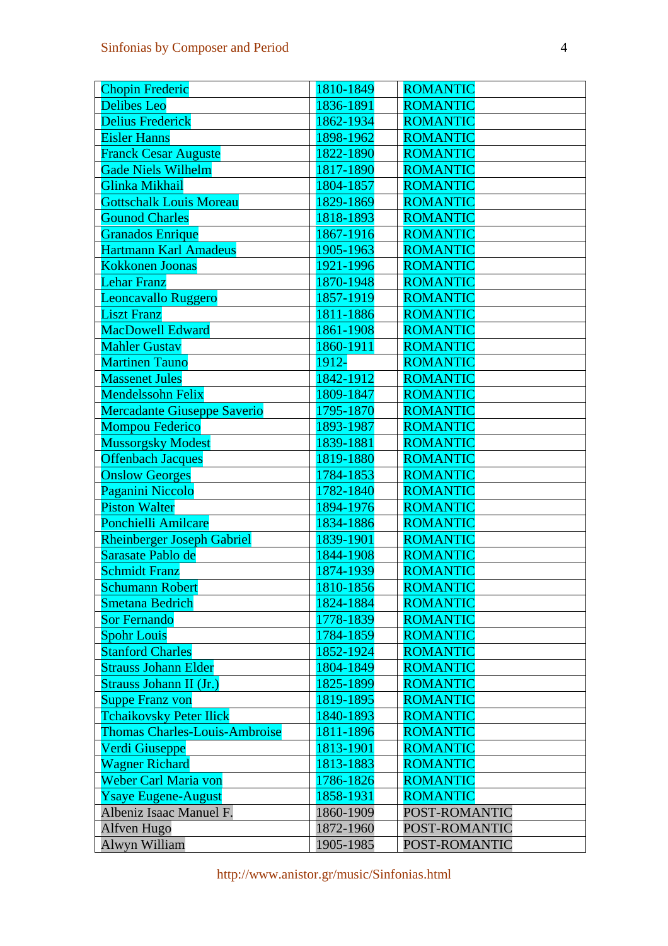| <b>Chopin Frederic</b>               | 1810-1849 | <b>ROMANTIC</b> |
|--------------------------------------|-----------|-----------------|
| <b>Delibes</b> Leo                   | 1836-1891 | <b>ROMANTIC</b> |
| <b>Delius Frederick</b>              | 1862-1934 | <b>ROMANTIC</b> |
| <b>Eisler Hanns</b>                  | 1898-1962 | <b>ROMANTIC</b> |
| <b>Franck Cesar Auguste</b>          | 1822-1890 | <b>ROMANTIC</b> |
| <b>Gade Niels Wilhelm</b>            | 1817-1890 | <b>ROMANTIC</b> |
| Glinka Mikhail                       | 1804-1857 | <b>ROMANTIC</b> |
| <b>Gottschalk Louis Moreau</b>       | 1829-1869 | <b>ROMANTIC</b> |
| <b>Gounod Charles</b>                | 1818-1893 | <b>ROMANTIC</b> |
| <b>Granados Enrique</b>              | 1867-1916 | <b>ROMANTIC</b> |
| Hartmann Karl Amadeus                | 1905-1963 | <b>ROMANTIC</b> |
| <b>Kokkonen Joonas</b>               | 1921-1996 | <b>ROMANTIC</b> |
| <b>Lehar Franz</b>                   | 1870-1948 | <b>ROMANTIC</b> |
| Leoncavallo Ruggero                  | 1857-1919 | <b>ROMANTIC</b> |
| <b>Liszt Franz</b>                   | 1811-1886 | <b>ROMANTIC</b> |
| <b>MacDowell Edward</b>              | 1861-1908 | <b>ROMANTIC</b> |
| <b>Mahler Gustav</b>                 | 1860-1911 | <b>ROMANTIC</b> |
| <b>Martinen Tauno</b>                | 1912-     | <b>ROMANTIC</b> |
| <b>Massenet Jules</b>                | 1842-1912 | <b>ROMANTIC</b> |
| <b>Mendelssohn Felix</b>             | 1809-1847 | <b>ROMANTIC</b> |
| <b>Mercadante Giuseppe Saverio</b>   | 1795-1870 | <b>ROMANTIC</b> |
| <b>Mompou Federico</b>               | 1893-1987 | <b>ROMANTIC</b> |
| <b>Mussorgsky Modest</b>             | 1839-1881 | <b>ROMANTIC</b> |
| <b>Offenbach Jacques</b>             | 1819-1880 | <b>ROMANTIC</b> |
| <b>Onslow Georges</b>                | 1784-1853 | <b>ROMANTIC</b> |
| Paganini Niccolo                     | 1782-1840 | <b>ROMANTIC</b> |
| <b>Piston Walter</b>                 | 1894-1976 | <b>ROMANTIC</b> |
| <b>Ponchielli Amilcare</b>           | 1834-1886 | <b>ROMANTIC</b> |
| <b>Rheinberger Joseph Gabriel</b>    | 1839-1901 | <b>ROMANTIC</b> |
| Sarasate Pablo de                    | 1844-1908 | <b>ROMANTIC</b> |
| <b>Schmidt Franz</b>                 | 1874-1939 | <b>ROMANTIC</b> |
| <b>Schumann Robert</b>               | 1810-1856 | <b>ROMANTIC</b> |
| <b>Smetana Bedrich</b>               | 1824-1884 | <b>ROMANTIC</b> |
| <b>Sor Fernando</b>                  | 1778-1839 | <b>ROMANTIC</b> |
| <b>Spohr Louis</b>                   | 1784-1859 | <b>ROMANTIC</b> |
| <b>Stanford Charles</b>              | 1852-1924 | <b>ROMANTIC</b> |
| <b>Strauss Johann Elder</b>          | 1804-1849 | <b>ROMANTIC</b> |
| Strauss Johann II (Jr.)              | 1825-1899 | <b>ROMANTIC</b> |
| <b>Suppe Franz von</b>               | 1819-1895 | <b>ROMANTIC</b> |
| <b>Tchaikovsky Peter Ilick</b>       | 1840-1893 | <b>ROMANTIC</b> |
| <b>Thomas Charles-Louis-Ambroise</b> | 1811-1896 | <b>ROMANTIC</b> |
| Verdi Giuseppe                       | 1813-1901 | <b>ROMANTIC</b> |
| <b>Wagner Richard</b>                | 1813-1883 | <b>ROMANTIC</b> |
| Weber Carl Maria von                 | 1786-1826 | <b>ROMANTIC</b> |
| <b>Ysaye Eugene-August</b>           | 1858-1931 | <b>ROMANTIC</b> |
| Albeniz Isaac Manuel F.              | 1860-1909 | POST-ROMANTIC   |
| Alfven Hugo                          | 1872-1960 | POST-ROMANTIC   |
| Alwyn William                        | 1905-1985 | POST-ROMANTIC   |

http://www.anistor.gr/music/Sinfonias.html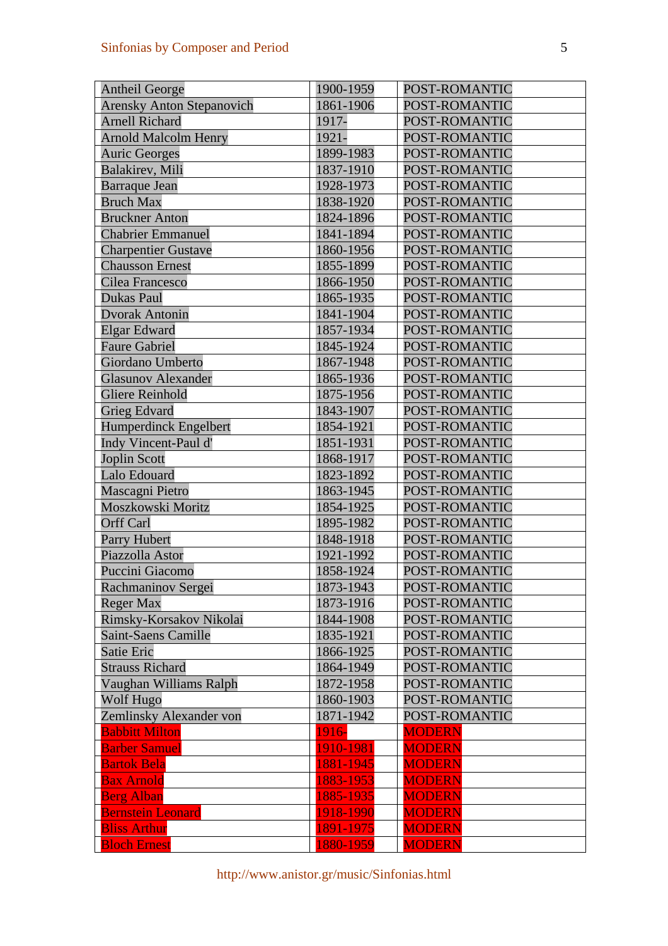| <b>Antheil George</b>            | 1900-1959 | POST-ROMANTIC |
|----------------------------------|-----------|---------------|
| <b>Arensky Anton Stepanovich</b> | 1861-1906 | POST-ROMANTIC |
| <b>Arnell Richard</b>            | 1917-     | POST-ROMANTIC |
| <b>Arnold Malcolm Henry</b>      | 1921-     | POST-ROMANTIC |
| <b>Auric Georges</b>             | 1899-1983 | POST-ROMANTIC |
| <b>Balakirev</b> , Mili          | 1837-1910 | POST-ROMANTIC |
| <b>Barraque Jean</b>             | 1928-1973 | POST-ROMANTIC |
| <b>Bruch Max</b>                 | 1838-1920 | POST-ROMANTIC |
| <b>Bruckner Anton</b>            | 1824-1896 | POST-ROMANTIC |
| <b>Chabrier Emmanuel</b>         | 1841-1894 | POST-ROMANTIC |
| <b>Charpentier Gustave</b>       | 1860-1956 | POST-ROMANTIC |
| <b>Chausson Ernest</b>           | 1855-1899 | POST-ROMANTIC |
| Cilea Francesco                  | 1866-1950 | POST-ROMANTIC |
| Dukas Paul                       | 1865-1935 | POST-ROMANTIC |
| <b>Dvorak Antonin</b>            | 1841-1904 | POST-ROMANTIC |
| <b>Elgar Edward</b>              | 1857-1934 | POST-ROMANTIC |
| <b>Faure Gabriel</b>             | 1845-1924 | POST-ROMANTIC |
| Giordano Umberto                 | 1867-1948 | POST-ROMANTIC |
| <b>Glasunov Alexander</b>        | 1865-1936 | POST-ROMANTIC |
| <b>Gliere Reinhold</b>           | 1875-1956 | POST-ROMANTIC |
| <b>Grieg Edvard</b>              | 1843-1907 | POST-ROMANTIC |
| Humperdinck Engelbert            | 1854-1921 | POST-ROMANTIC |
| Indy Vincent-Paul d'             | 1851-1931 | POST-ROMANTIC |
| <b>Joplin Scott</b>              | 1868-1917 | POST-ROMANTIC |
| Lalo Edouard                     | 1823-1892 | POST-ROMANTIC |
| Mascagni Pietro                  | 1863-1945 | POST-ROMANTIC |
| Moszkowski Moritz                | 1854-1925 | POST-ROMANTIC |
| <b>Orff Carl</b>                 | 1895-1982 | POST-ROMANTIC |
| Parry Hubert                     | 1848-1918 | POST-ROMANTIC |
| Piazzolla Astor                  | 1921-1992 | POST-ROMANTIC |
| Puccini Giacomo                  | 1858-1924 | POST-ROMANTIC |
| Rachmaninov Sergei               | 1873-1943 | POST-ROMANTIC |
| <b>Reger Max</b>                 | 1873-1916 | POST-ROMANTIC |
| Rimsky-Korsakov Nikolai          | 1844-1908 | POST-ROMANTIC |
| <b>Saint-Saens Camille</b>       | 1835-1921 | POST-ROMANTIC |
| Satie Eric                       | 1866-1925 | POST-ROMANTIC |
| <b>Strauss Richard</b>           | 1864-1949 | POST-ROMANTIC |
| Vaughan Williams Ralph           | 1872-1958 | POST-ROMANTIC |
| Wolf Hugo                        | 1860-1903 | POST-ROMANTIC |
| Zemlinsky Alexander von          | 1871-1942 | POST-ROMANTIC |
| <b>Babbitt Milton</b>            | 1916-     | <b>MODERN</b> |
| <b>Barber Samuel</b>             | 1910-1981 | <b>MODERN</b> |
| <b>Bartok Bela</b>               | 1881-1945 | <b>MODERN</b> |
| <b>Bax Arnold</b>                | 1883-1953 | <b>MODERN</b> |
| <b>Berg Alban</b>                | 1885-1935 | <b>MODERN</b> |
| <b>Bernstein Leonard</b>         | 1918-1990 | <b>MODERN</b> |
| <b>Bliss Arthur</b>              | 1891-1975 | <b>MODERN</b> |
| <b>Bloch Ernest</b>              | 1880-1959 | <b>MODERN</b> |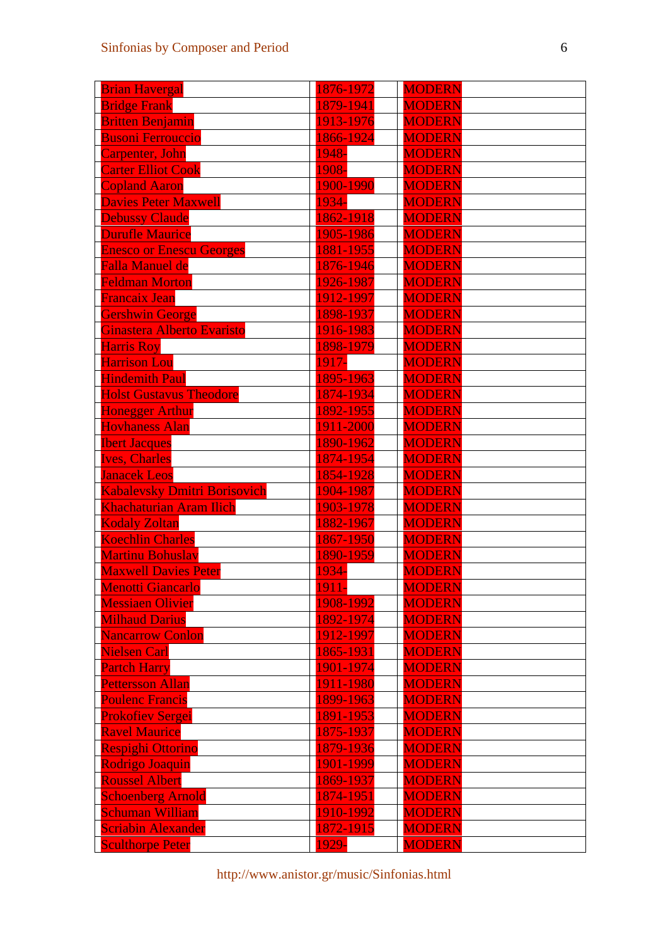| <b>Brian Havergal</b>               | 1876-1972    | <b>MODERN</b> |
|-------------------------------------|--------------|---------------|
| <b>Bridge Frank</b>                 | 1879-1941    | <b>MODERN</b> |
| <b>Britten Benjamin</b>             | 1913-1976    | <b>MODERN</b> |
| <b>Busoni Ferrouccio</b>            | 1866-1924    | <b>MODERN</b> |
| Carpenter, John                     | 1948-        | <b>MODERN</b> |
| <b>Carter Elliot Cook</b>           | 1908-        | <b>MODERN</b> |
| <b>Copland Aaron</b>                | 1900-1990    | <b>MODERN</b> |
| <b>Davies Peter Maxwell</b>         | 1934-        | <b>MODERN</b> |
| <b>Debussy Claude</b>               | 1862-1918    | <b>MODERN</b> |
| <b>Durufle Maurice</b>              | 1905-1986    | <b>MODERN</b> |
| <b>Enesco or Enescu Georges</b>     | 1881-1955    | <b>MODERN</b> |
| <b>Falla Manuel de</b>              | 1876-1946    | <b>MODERN</b> |
| <b>Feldman Morton</b>               | 1926-1987    | <b>MODERN</b> |
| <b>Francaix Jean</b>                | 1912-1997    | <b>MODERN</b> |
| Gershwin George                     | 1898-1937    | <b>MODERN</b> |
| Ginastera Alberto Evaristo          | 1916-1983    | <b>MODERN</b> |
| <b>Harris Roy</b>                   | 1898-1979    | <b>MODERN</b> |
| <b>Harrison Lou</b>                 | 1917-        | <b>MODERN</b> |
| <b>Hindemith Paul</b>               | 1895-1963    | <b>MODERN</b> |
| <b>Holst Gustavus Theodore</b>      | 1874-1934    | <b>MODERN</b> |
| <b>Honegger Arthur</b>              | 1892-1955    | <b>MODERN</b> |
| <b>Hovhaness Alan</b>               | 1911-2000    | <b>MODERN</b> |
| <b>Ibert Jacques</b>                | 1890-1962    | <b>MODERN</b> |
| <b>Ives, Charles</b>                | 1874-1954    | <b>MODERN</b> |
| <b>Janacek Leos</b>                 | 1854-1928    | <b>MODERN</b> |
| <b>Kabalevsky Dmitri Borisovich</b> | 1904-1987    | <b>MODERN</b> |
| <b>Khachaturian Aram Ilich</b>      | 1903-1978    | <b>MODERN</b> |
| <b>Kodaly Zoltan</b>                | 1882-1967    | <b>MODERN</b> |
| <b>Koechlin Charles</b>             | 1867-1950    | <b>MODERN</b> |
| <b>Martinu Bohuslav</b>             | 1890-1959    | <b>MODERN</b> |
| <b>Maxwell Davies Peter</b>         | 1934-        | <b>MODERN</b> |
| Menotti Giancarlo                   | <b>1911-</b> | <b>MODERN</b> |
| <b>Messiaen Olivier</b>             | 1908-1992    | <b>MODERN</b> |
| <b>Milhaud Darius</b>               | 1892-1974    | <b>MODERN</b> |
| <b>Nancarrow Conlon</b>             | 1912-1997    | <b>MODERN</b> |
| <b>Nielsen Carl</b>                 | 1865-1931    | <b>MODERN</b> |
| <b>Partch Harry</b>                 | 1901-1974    | <b>MODERN</b> |
| <b>Pettersson Allan</b>             | 1911-1980    | <b>MODERN</b> |
| <b>Poulenc Francis</b>              | 1899-1963    | <b>MODERN</b> |
| <b>Prokofiev Sergei</b>             | 1891-1953    | <b>MODERN</b> |
| <b>Ravel Maurice</b>                | 1875-1937    | <b>MODERN</b> |
| <b>Respighi Ottorino</b>            | 1879-1936    | <b>MODERN</b> |
| <b>Rodrigo Joaquin</b>              | 1901-1999    | <b>MODERN</b> |
| <b>Roussel Albert</b>               | 1869-1937    | <b>MODERN</b> |
| <b>Schoenberg Arnold</b>            | 1874-1951    | <b>MODERN</b> |
| <b>Schuman William</b>              | 1910-1992    | <b>MODERN</b> |
| <b>Scriabin Alexander</b>           | 1872-1915    | <b>MODERN</b> |
| <b>Sculthorpe Peter</b>             | 1929-        | <b>MODERN</b> |